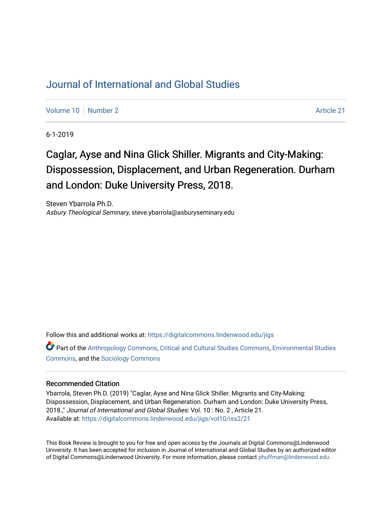## [Journal of International and Global Studies](https://digitalcommons.lindenwood.edu/jigs)

[Volume 10](https://digitalcommons.lindenwood.edu/jigs/vol10) [Number 2](https://digitalcommons.lindenwood.edu/jigs/vol10/iss2) Article 21

6-1-2019

# Caglar, Ayse and Nina Glick Shiller. Migrants and City-Making: Dispossession, Displacement, and Urban Regeneration. Durham and London: Duke University Press, 2018.

Steven Ybarrola Ph.D. Asbury Theological Seminary, steve.ybarrola@asburyseminary.edu

Follow this and additional works at: [https://digitalcommons.lindenwood.edu/jigs](https://digitalcommons.lindenwood.edu/jigs?utm_source=digitalcommons.lindenwood.edu%2Fjigs%2Fvol10%2Fiss2%2F21&utm_medium=PDF&utm_campaign=PDFCoverPages) 

Part of the [Anthropology Commons](http://network.bepress.com/hgg/discipline/318?utm_source=digitalcommons.lindenwood.edu%2Fjigs%2Fvol10%2Fiss2%2F21&utm_medium=PDF&utm_campaign=PDFCoverPages), [Critical and Cultural Studies Commons](http://network.bepress.com/hgg/discipline/328?utm_source=digitalcommons.lindenwood.edu%2Fjigs%2Fvol10%2Fiss2%2F21&utm_medium=PDF&utm_campaign=PDFCoverPages), [Environmental Studies](http://network.bepress.com/hgg/discipline/1333?utm_source=digitalcommons.lindenwood.edu%2Fjigs%2Fvol10%2Fiss2%2F21&utm_medium=PDF&utm_campaign=PDFCoverPages)  [Commons](http://network.bepress.com/hgg/discipline/1333?utm_source=digitalcommons.lindenwood.edu%2Fjigs%2Fvol10%2Fiss2%2F21&utm_medium=PDF&utm_campaign=PDFCoverPages), and the [Sociology Commons](http://network.bepress.com/hgg/discipline/416?utm_source=digitalcommons.lindenwood.edu%2Fjigs%2Fvol10%2Fiss2%2F21&utm_medium=PDF&utm_campaign=PDFCoverPages)

#### Recommended Citation

Ybarrola, Steven Ph.D. (2019) "Caglar, Ayse and Nina Glick Shiller. Migrants and City-Making: Dispossession, Displacement, and Urban Regeneration. Durham and London: Duke University Press, 2018.," Journal of International and Global Studies: Vol. 10 : No. 2 , Article 21. Available at: [https://digitalcommons.lindenwood.edu/jigs/vol10/iss2/21](https://digitalcommons.lindenwood.edu/jigs/vol10/iss2/21?utm_source=digitalcommons.lindenwood.edu%2Fjigs%2Fvol10%2Fiss2%2F21&utm_medium=PDF&utm_campaign=PDFCoverPages) 

This Book Review is brought to you for free and open access by the Journals at Digital Commons@Lindenwood University. It has been accepted for inclusion in Journal of International and Global Studies by an authorized editor of Digital Commons@Lindenwood University. For more information, please contact [phuffman@lindenwood.edu](mailto:phuffman@lindenwood.edu).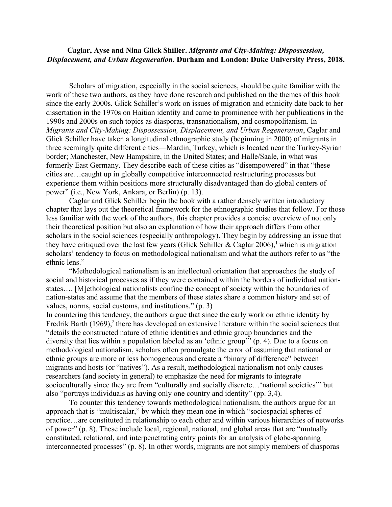### **Caglar, Ayse and Nina Glick Shiller.** *Migrants and City-Making: Dispossession, Displacement, and Urban Regeneration.* **Durham and London: Duke University Press, 2018.**

Scholars of migration, especially in the social sciences, should be quite familiar with the work of these two authors, as they have done research and published on the themes of this book since the early 2000s. Glick Schiller's work on issues of migration and ethnicity date back to her dissertation in the 1970s on Haitian identity and came to prominence with her publications in the 1990s and 2000s on such topics as diasporas, transnationalism, and cosmopolitanism. In *Migrants and City-Making: Dispossession, Displacement, and Urban Regeneration*, Caglar and Glick Schiller have taken a longitudinal ethnographic study (beginning in 2000) of migrants in three seemingly quite different cities—Mardin, Turkey, which is located near the Turkey-Syrian border; Manchester, New Hampshire, in the United States; and Halle/Saale, in what was formerly East Germany. They describe each of these cities as "disempowered" in that "these cities are…caught up in globally competitive interconnected restructuring processes but experience them within positions more structurally disadvantaged than do global centers of power" (i.e., New York, Ankara, or Berlin) (p. 13).

Caglar and Glick Schiller begin the book with a rather densely written introductory chapter that lays out the theoretical framework for the ethnographic studies that follow. For those less familiar with the work of the authors, this chapter provides a concise overview of not only their theoretical position but also an explanation of how their approach differs from other scholars in the social sciences (especially anthropology). They begin by addressing an issue that they have critiqued over the last few years (Glick Schiller & Caglar 2006),<sup>1</sup> which is migration scholars' tendency to focus on methodological nationalism and what the authors refer to as "the ethnic lens."

"Methodological nationalism is an intellectual orientation that approaches the study of social and historical processes as if they were contained within the borders of individual nationstates…. [M]ethological nationalists confine the concept of society within the boundaries of nation-states and assume that the members of these states share a common history and set of values, norms, social customs, and institutions." (p. 3)

In countering this tendency, the authors argue that since the early work on ethnic identity by Fredrik Barth  $(1969)$ ,<sup>2</sup> there has developed an extensive literature within the social sciences that "details the constructed nature of ethnic identities and ethnic group boundaries and the diversity that lies within a population labeled as an 'ethnic group'" (p. 4). Due to a focus on methodological nationalism, scholars often promulgate the error of assuming that national or ethnic groups are more or less homogeneous and create a "binary of difference" between migrants and hosts (or "natives"). As a result, methodological nationalism not only causes researchers (and society in general) to emphasize the need for migrants to integrate socioculturally since they are from "culturally and socially discrete…'national societies'" but also "portrays individuals as having only one country and identity" (pp. 3,4).

To counter this tendency towards methodological nationalism, the authors argue for an approach that is "multiscalar," by which they mean one in which "sociospacial spheres of practice…are constituted in relationship to each other and within various hierarchies of networks of power" (p. 8). These include local, regional, national, and global areas that are "mutually constituted, relational, and interpenetrating entry points for an analysis of globe-spanning interconnected processes" (p. 8). In other words, migrants are not simply members of diasporas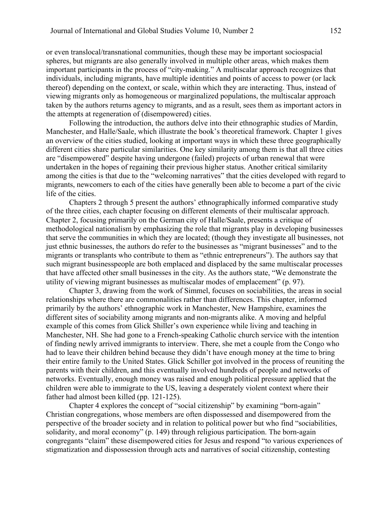or even translocal/transnational communities, though these may be important sociospacial spheres, but migrants are also generally involved in multiple other areas, which makes them important participants in the process of "city-making." A multiscalar approach recognizes that individuals, including migrants, have multiple identities and points of access to power (or lack thereof) depending on the context, or scale, within which they are interacting. Thus, instead of viewing migrants only as homogeneous or marginalized populations, the multiscalar approach taken by the authors returns agency to migrants, and as a result, sees them as important actors in the attempts at regeneration of (disempowered) cities.

Following the introduction, the authors delve into their ethnographic studies of Mardin, Manchester, and Halle/Saale, which illustrate the book's theoretical framework. Chapter 1 gives an overview of the cities studied, looking at important ways in which these three geographically different cities share particular similarities. One key similarity among them is that all three cities are "disempowered" despite having undergone (failed) projects of urban renewal that were undertaken in the hopes of regaining their previous higher status. Another critical similarity among the cities is that due to the "welcoming narratives" that the cities developed with regard to migrants, newcomers to each of the cities have generally been able to become a part of the civic life of the cities.

Chapters 2 through 5 present the authors' ethnographically informed comparative study of the three cities, each chapter focusing on different elements of their multiscalar approach. Chapter 2, focusing primarily on the German city of Halle/Saale, presents a critique of methodological nationalism by emphasizing the role that migrants play in developing businesses that serve the communities in which they are located; (though they investigate all businesses, not just ethnic businesses, the authors do refer to the businesses as "migrant businesses" and to the migrants or transplants who contribute to them as "ethnic entrepreneurs"). The authors say that such migrant businesspeople are both emplaced and displaced by the same multiscalar processes that have affected other small businesses in the city. As the authors state, "We demonstrate the utility of viewing migrant businesses as multiscalar modes of emplacement" (p. 97).

Chapter 3, drawing from the work of Simmel, focuses on sociabilities, the areas in social relationships where there are commonalities rather than differences. This chapter, informed primarily by the authors' ethnographic work in Manchester, New Hampshire, examines the different sites of sociability among migrants and non-migrants alike. A moving and helpful example of this comes from Glick Shiller's own experience while living and teaching in Manchester, NH. She had gone to a French-speaking Catholic church service with the intention of finding newly arrived immigrants to interview. There, she met a couple from the Congo who had to leave their children behind because they didn't have enough money at the time to bring their entire family to the United States. Glick Schiller got involved in the process of reuniting the parents with their children, and this eventually involved hundreds of people and networks of networks. Eventually, enough money was raised and enough political pressure applied that the children were able to immigrate to the US, leaving a desperately violent context where their father had almost been killed (pp. 121-125).

Chapter 4 explores the concept of "social citizenship" by examining "born-again" Christian congregations, whose members are often dispossessed and disempowered from the perspective of the broader society and in relation to political power but who find "sociabilities, solidarity, and moral economy" (p. 149) through religious participation. The born-again congregants "claim" these disempowered cities for Jesus and respond "to various experiences of stigmatization and dispossession through acts and narratives of social citizenship, contesting